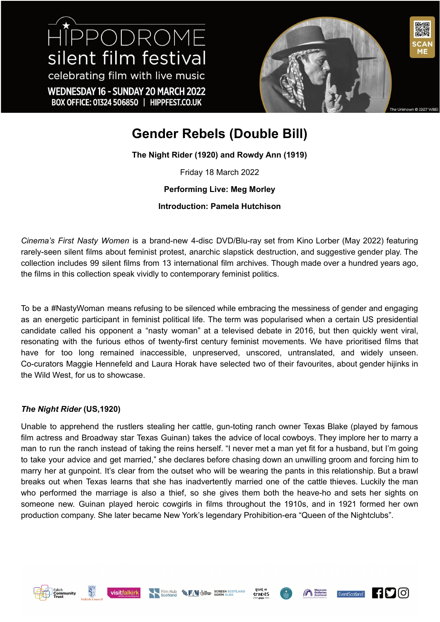HIPPODROME silent film festival celebrating film with live music WEDNESDAY 16 - SUNDAY 20 MARCH 2022 BOX OFFICE: 01324 506850 | HIPPFEST.CO.UK



# **Gender Rebels (Double Bill)**

**The Night Rider (1920) and Rowdy Ann (1919)**

Friday 18 March 2022

**Performing Live: Meg Morley**

**Introduction: Pamela Hutchison**

*Cinema's First Nasty Women* is a brand-new 4-disc DVD/Blu-ray set from Kino Lorber (May 2022) featuring rarely-seen silent films about feminist protest, anarchic slapstick destruction, and suggestive gender play. The collection includes 99 silent films from 13 international film archives. Though made over a hundred years ago, the films in this collection speak vividly to contemporary feminist politics.

To be a #NastyWoman means refusing to be silenced while embracing the messiness of gender and engaging as an energetic participant in feminist political life. The term was popularised when a certain US presidential candidate called his opponent a "nasty woman" at a televised debate in 2016, but then quickly went viral, resonating with the furious ethos of twenty-first century feminist movements. We have prioritised films that have for too long remained inaccessible, unpreserved, unscored, untranslated, and widely unseen. Co-curators Maggie Hennefeld and Laura Horak have selected two of their favourites, about gender hijinks in the Wild West, for us to showcase.

## *The Night Rider* **(US,1920)**

Unable to apprehend the rustlers stealing her cattle, gun-toting ranch owner Texas Blake (played by famous film actress and Broadway star Texas Guinan) takes the advice of local cowboys. They implore her to marry a man to run the ranch instead of taking the reins herself. "I never met a man yet fit for a husband, but I'm going to take your advice and get married," she declares before chasing down an unwilling groom and forcing him to marry her at gunpoint. It's clear from the outset who will be wearing the pants in this relationship. But a brawl breaks out when Texas learns that she has inadvertently married one of the cattle thieves. Luckily the man who performed the marriage is also a thief, so she gives them both the heave-ho and sets her sights on someone new. Guinan played heroic cowgirls in films throughout the 1910s, and in 1921 formed her own production company. She later became New York's legendary Prohibition-era "Queen of the Nightclubs".











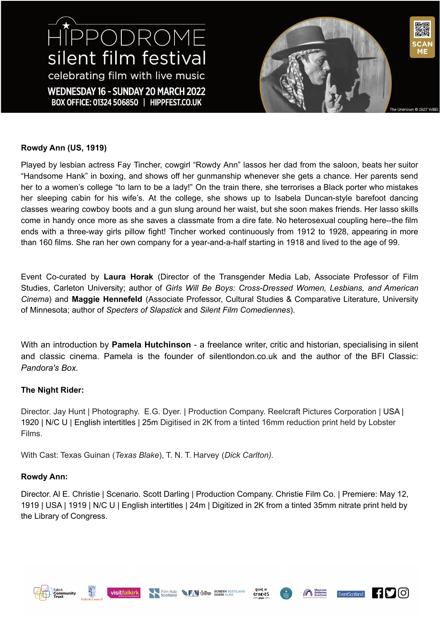# HIPPODROME silent film festival celebrating film with live music WEDNESDAY 16 - SUNDAY 20 MARCH 2022 BOX OFFICE: 01324 506850 | HIPPFEST.CO.UK



# **Rowdy Ann (US, 1919)**

Played by lesbian actress Fay Tincher, cowgirl "Rowdy Ann" lassos her dad from the saloon, beats her suitor "Handsome Hank" in boxing, and shows off her gunmanship whenever she gets a chance. Her parents send her to a women's college "to larn to be a lady!" On the train there, she terrorises a Black porter who mistakes her sleeping cabin for his wife's. At the college, she shows up to Isabela Duncan-style barefoot dancing classes wearing cowboy boots and a gun slung around her waist, but she soon makes friends. Her lasso skills come in handy once more as she saves a classmate from a dire fate. No heterosexual coupling here--the film ends with a three-way girls pillow fight! Tincher worked continuously from 1912 to 1928, appearing in more than 160 films. She ran her own company for a year-and-a-half starting in 1918 and lived to the age of 99.

Event Co-curated by **Laura Horak** (Director of the Transgender Media Lab, Associate Professor of Film Studies, Carleton University; author of *Girls Will Be Boys: Cross-Dressed Women, Lesbians, and American Cinema*) and **Maggie Hennefeld** (Associate Professor, Cultural Studies & Comparative Literature, University of Minnesota; author of *Specters of Slapstick* and *Silent Film Comediennes*).

With an introduction by **Pamela Hutchinson** - a freelance writer, critic and historian, specialising in silent and classic cinema. Pamela is the founder of silentlondon.co.uk and the author of the BFI Classic: *Pandora's Box.*

## **The Night Rider:**

Director. Jay Hunt | Photography. E.G. Dyer. | Production Company. Reelcraft Pictures Corporation | USA | 1920 | N/C U | English intertitles | 25m Digitised in 2K from a tinted 16mm reduction print held by Lobster Films.

With Cast: Texas Guinan (*Texas Blake*), T. N. T. Harvey (*Dick Carlton).*

## **Rowdy Ann:**

Director. Al E. Christie | Scenario. Scott Darling | Production Company. Christie Film Co. | Premiere: May 12, 1919 | USA | 1919 | N/C U | English intertitles | 24m | Digitized in 2K from a tinted 35mm nitrate print held by the Library of Congress.